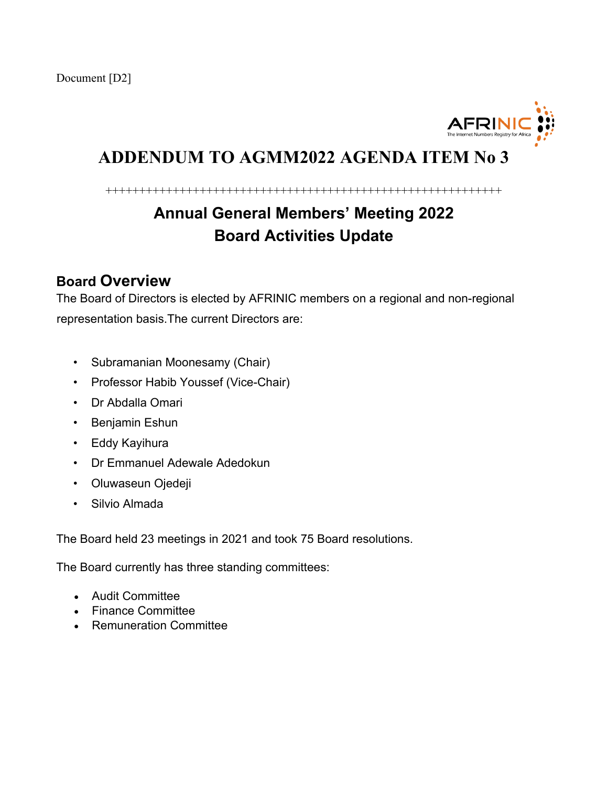

## **ADDENDUM TO AGMM2022 AGENDA ITEM No 3**

+++++++++++++++++++++++++++++++++++++++++++++++++++++++++++

# **Annual General Members' Meeting 2022 Board Activities Update**

## **Board Overview**

The Board of Directors is elected by AFRINIC members on a regional and non-regional representation basis.The current Directors are:

- Subramanian Moonesamy (Chair)
- Professor Habib Youssef (Vice-Chair)
- Dr Abdalla Omari
- Benjamin Eshun
- Eddy Kayihura
- Dr Emmanuel Adewale Adedokun
- Oluwaseun Ojedeji
- Silvio Almada

The Board held 23 meetings in 2021 and took 75 Board resolutions.

The Board currently has three standing committees:

- Audit Committee
- Finance Committee
- Remuneration Committee